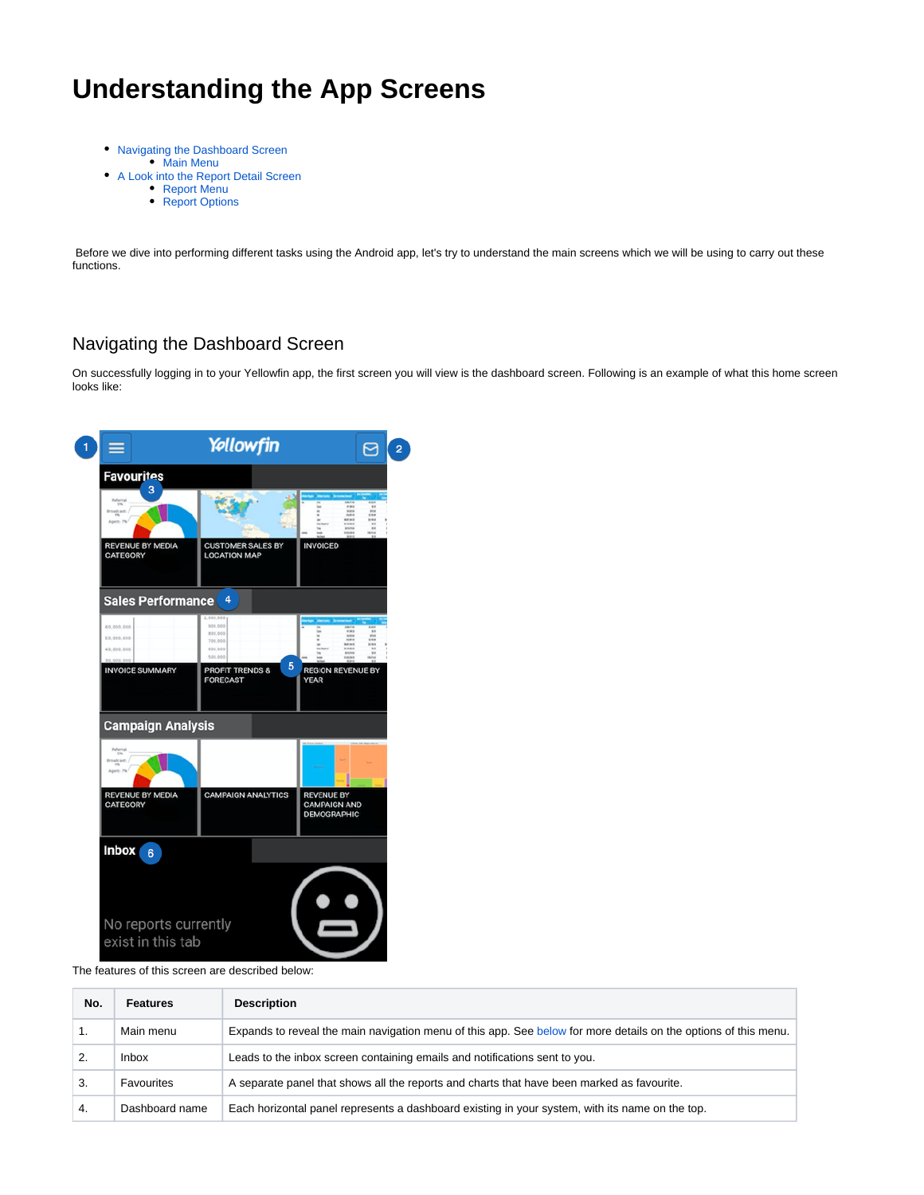# **Understanding the App Screens**

- [Navigating the Dashboard Screen](#page-0-0) [Main Menu](#page-1-0)
- [A Look into the Report Detail Screen](#page-1-1)
	- [Report Menu](#page-2-0)
		- [Report Options](#page-3-0)

 Before we dive into performing different tasks using the Android app, let's try to understand the main screens which we will be using to carry out these functions.

# <span id="page-0-0"></span>Navigating the Dashboard Screen

On successfully logging in to your Yellowfin app, the first screen you will view is the dashboard screen. Following is an example of what this home screen looks like:

| 1 | $\equiv$                                                                       | Yellowfin                                                       |                                                                | ⊠ | $\overline{2}$ |
|---|--------------------------------------------------------------------------------|-----------------------------------------------------------------|----------------------------------------------------------------|---|----------------|
|   | <b>Favourites</b><br>3<br>Referral<br>$^{58}$<br>Broadcast)<br>en<br>Agent: 7% |                                                                 |                                                                |   |                |
|   | <b>REVENUE BY MEDIA</b><br><b>CATEGORY</b>                                     | <b>CUSTOMER SALES BY</b><br><b>LOCATION MAP</b>                 | <b>INVOICED</b>                                                |   |                |
|   | <b>Sales Performance</b>                                                       | 4                                                               |                                                                |   |                |
|   | 60,000,000<br>50.000.000<br>40.000.000                                         | 000.000<br>900.000<br>800,000<br>700,000<br>655, 655<br>500,000 |                                                                |   |                |
|   | <b>INVOICE SUMMARY</b>                                                         | 5<br><b>PROFIT TRENDS &amp;</b><br><b>FORECAST</b>              | <b>REGION REVENUE BY</b><br>YEAR                               |   |                |
|   | <b>Campaign Analysis</b>                                                       |                                                                 |                                                                |   |                |
|   | 5%<br><b>Broadcast</b><br>Agent: 7%                                            |                                                                 |                                                                |   |                |
|   | <b>REVENUE BY MEDIA</b><br><b>CATEGORY</b>                                     | <b>CAMPAIGN ANALYTICS</b>                                       | <b>REVENUE BY</b><br><b>CAMPAIGN AND</b><br><b>DEMOGRAPHIC</b> |   |                |
|   | Inbox<br>6                                                                     |                                                                 |                                                                |   |                |
|   |                                                                                |                                                                 |                                                                |   |                |
|   | No reports currently<br>exist in this tab                                      |                                                                 |                                                                |   |                |

The features of this screen are described below:

| No. | <b>Features</b> | <b>Description</b>                                                                                              |
|-----|-----------------|-----------------------------------------------------------------------------------------------------------------|
|     | Main menu       | Expands to reveal the main navigation menu of this app. See below for more details on the options of this menu. |
|     | <b>Inbox</b>    | Leads to the inbox screen containing emails and notifications sent to you.                                      |
| 3.  | Favourites      | A separate panel that shows all the reports and charts that have been marked as favourite.                      |
| 4.  | Dashboard name  | Each horizontal panel represents a dashboard existing in your system, with its name on the top.                 |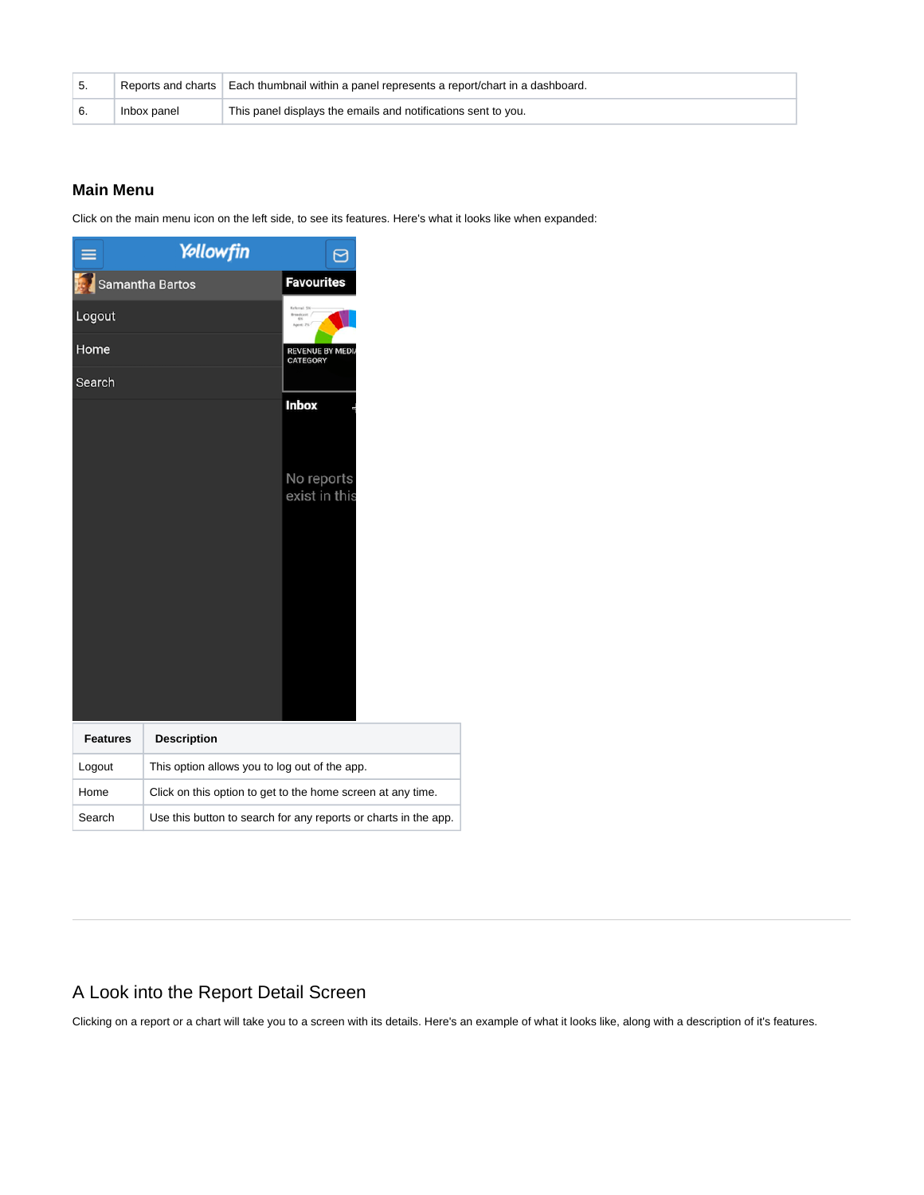|             | Reports and charts   Each thumbnail within a panel represents a report/chart in a dashboard. |
|-------------|----------------------------------------------------------------------------------------------|
| Inbox panel | This panel displays the emails and notifications sent to you.                                |

#### <span id="page-1-2"></span><span id="page-1-0"></span>**Main Menu**

Click on the main menu icon on the left side, to see its features. Here's what it looks like when expanded:

|                 | Yellowfin                                     | ල                                                               |
|-----------------|-----------------------------------------------|-----------------------------------------------------------------|
|                 | Samantha Bartos                               | <b>Favourites</b>                                               |
| Logout          |                                               | <b>Inferral SN</b>                                              |
| Home            |                                               | <b>REVENUE BY MEDIA</b><br><b>CATEGORY</b>                      |
| Search          |                                               |                                                                 |
|                 |                                               | <b>Inbox</b>                                                    |
|                 |                                               | No reports<br>exist in this                                     |
|                 |                                               |                                                                 |
|                 |                                               |                                                                 |
| <b>Features</b> | <b>Description</b>                            |                                                                 |
| Logout          | This option allows you to log out of the app. |                                                                 |
| Home            |                                               | Click on this option to get to the home screen at any time.     |
| Search          |                                               | Use this button to search for any reports or charts in the app. |

# <span id="page-1-1"></span>A Look into the Report Detail Screen

Clicking on a report or a chart will take you to a screen with its details. Here's an example of what it looks like, along with a description of it's features.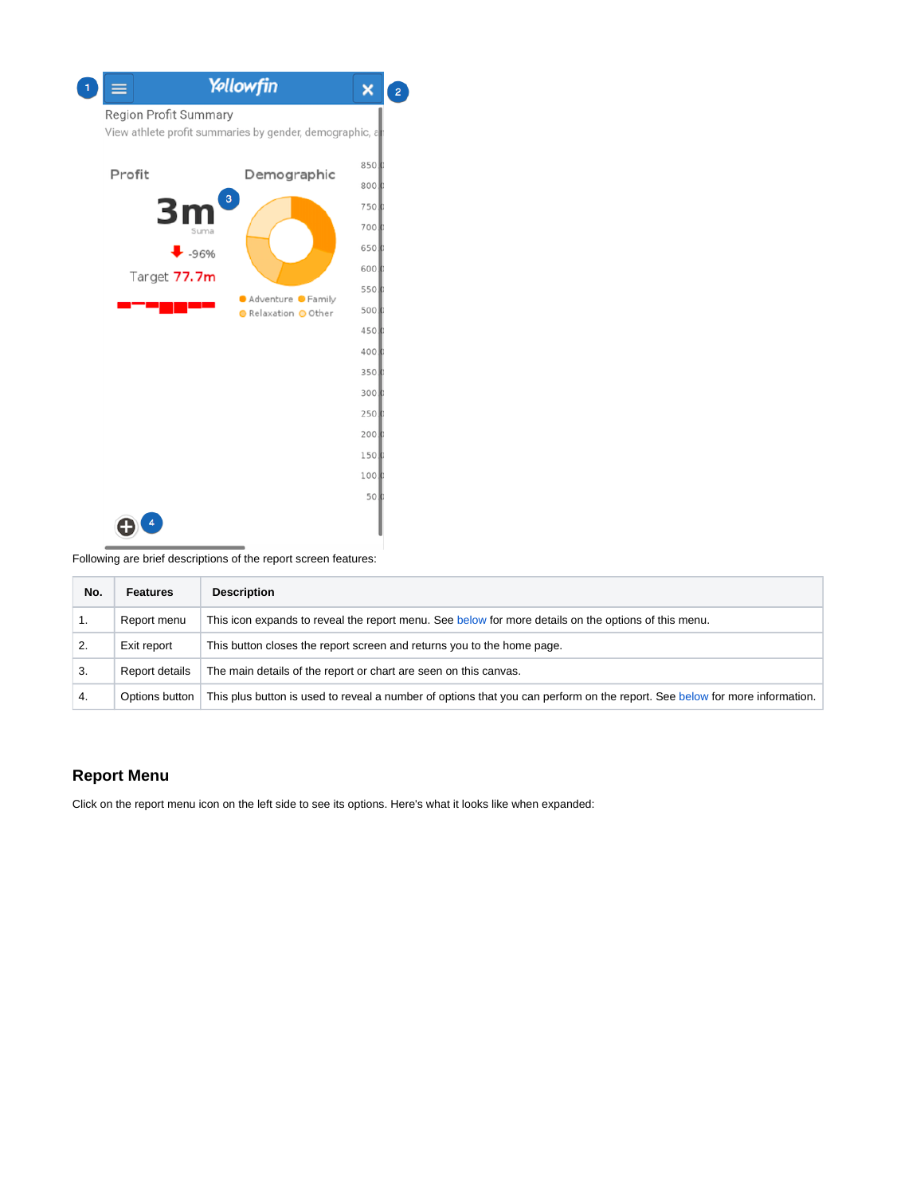

Following are brief descriptions of the report screen features:

| No. | <b>Features</b> | <b>Description</b>                                                                                                         |
|-----|-----------------|----------------------------------------------------------------------------------------------------------------------------|
|     | Report menu     | This icon expands to reveal the report menu. See below for more details on the options of this menu.                       |
|     | Exit report     | This button closes the report screen and returns you to the home page.                                                     |
| 3.  | Report details  | The main details of the report or chart are seen on this canvas.                                                           |
| 4.  | Options button  | This plus button is used to reveal a number of options that you can perform on the report. See below for more information. |

### <span id="page-2-1"></span><span id="page-2-0"></span>**Report Menu**

Click on the report menu icon on the left side to see its options. Here's what it looks like when expanded: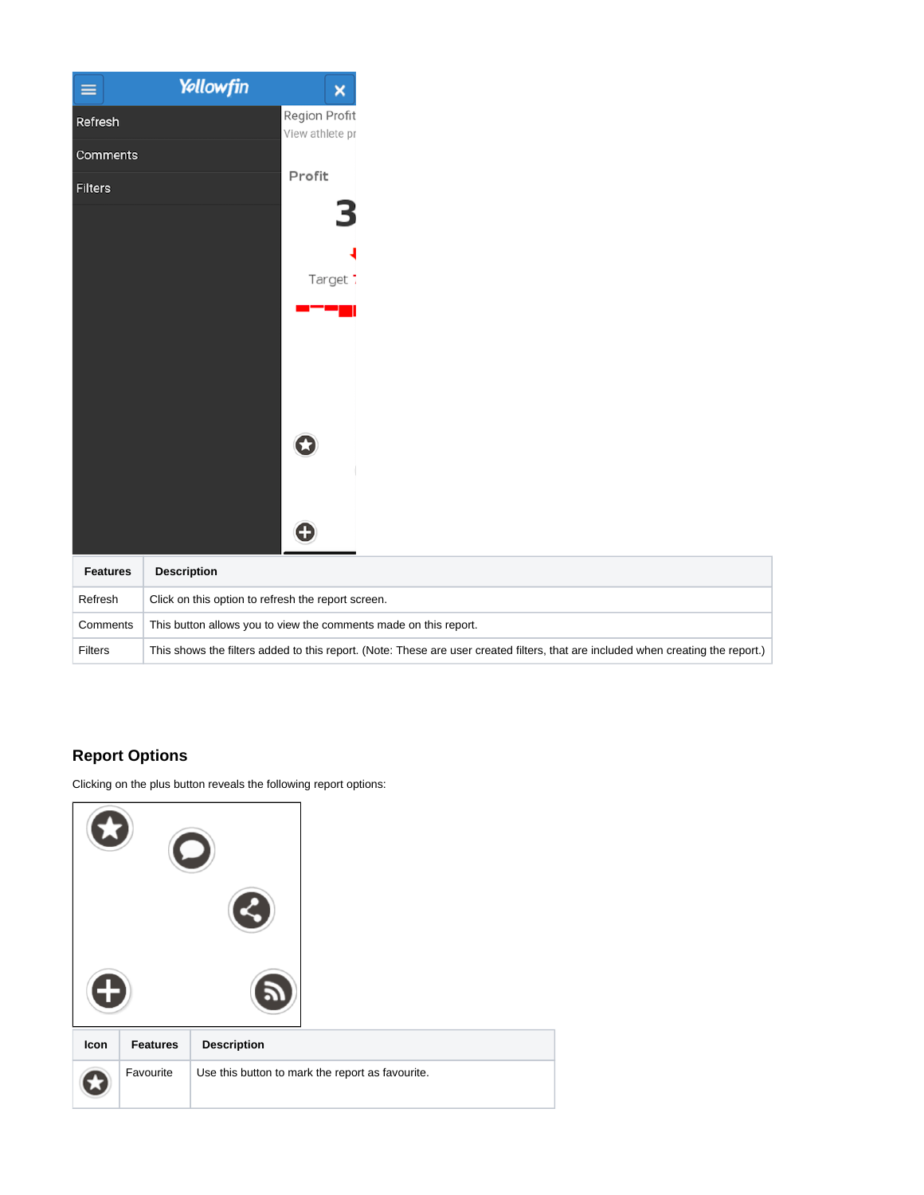| ≡               | Yellowfin                                                                                                                        | $\pmb{\times}$                   |
|-----------------|----------------------------------------------------------------------------------------------------------------------------------|----------------------------------|
| Refresh         |                                                                                                                                  | Region Profit<br>View athlete pr |
| Comments        |                                                                                                                                  |                                  |
| <b>Filters</b>  |                                                                                                                                  | Profit                           |
|                 |                                                                                                                                  |                                  |
|                 |                                                                                                                                  |                                  |
|                 |                                                                                                                                  | Target:                          |
|                 |                                                                                                                                  |                                  |
|                 |                                                                                                                                  |                                  |
|                 |                                                                                                                                  |                                  |
|                 |                                                                                                                                  |                                  |
|                 |                                                                                                                                  | IJ                               |
|                 |                                                                                                                                  |                                  |
|                 |                                                                                                                                  | G                                |
| <b>Features</b> | <b>Description</b>                                                                                                               |                                  |
| Refresh         | Click on this option to refresh the report screen.                                                                               |                                  |
| Comments        | This button allows you to view the comments made on this report.                                                                 |                                  |
| <b>Filters</b>  | This shows the filters added to this report. (Note: These are user created filters, that are included when creating the report.) |                                  |

## <span id="page-3-1"></span><span id="page-3-0"></span>**Report Options**

Clicking on the plus button reveals the following report options:

| Icon | <b>Features</b> | <b>Description</b>                               |
|------|-----------------|--------------------------------------------------|
|      | Favourite       | Use this button to mark the report as favourite. |